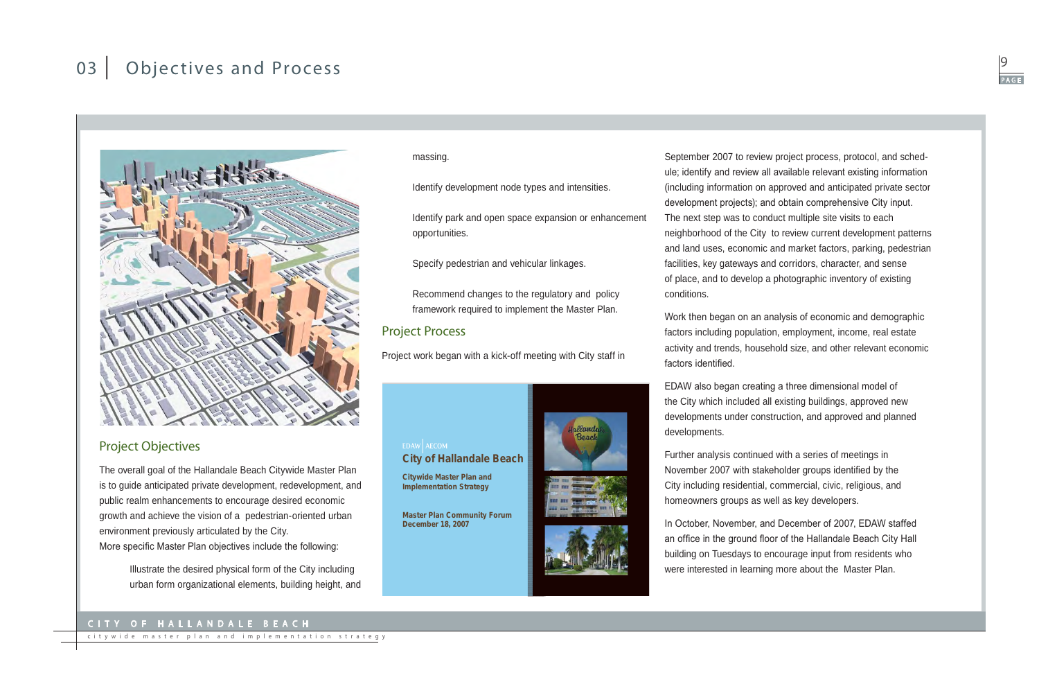### City of Hallandale Bea ch



citywide master plan and implementation strategy

# 03 Objectives and Process



## Project Objectives

The overall goal of the Hallandale Beach Citywide Master Plan is to guide anticipated private development, redevelopment, and public realm enhancements to encourage desired economic growth and achieve the vision of a pedestrian-oriented urban environment previously articulated by the City. More specific Master Plan objectives include the following:

> Illustrate the desired physical form of the City including urban form organizational elements, building height, and

**City of Hallandale Beach**

**Citywide Master Plan and Implementation Strategy**

**Master Plan Community Forum**







**December 18, 2007**

September 2007 to review project process, protocol, and schedule; identify and review all available relevant existing information (including information on approved and anticipated private sector development projects); and obtain comprehensive City input. The next step was to conduct multiple site visits to each neighborhood of the City to review current development patterns and land uses, economic and market factors, parking, pedestrian facilities, key gateways and corridors, character, and sense of place, and to develop a photographic inventory of existing conditions.

Work then began on an analysis of economic and demographic factors including population, employment, income, real estate activity and trends, household size, and other relevant economic

factors identified.

EDAW also began creating a three dimensional model of the City which included all existing buildings, approved new developments under construction, and approved and planned developments.

Further analysis continued with a series of meetings in November 2007 with stakeholder groups identified by the City including residential, commercial, civic, religious, and homeowners groups as well as key developers.

In October, November, and December of 2007, EDAW staffed an office in the ground floor of the Hallandale Beach City Hall building on Tuesdays to encourage input from residents who were interested in learning more about the Master Plan.

#### massing.

Identify development node types and intensities.

Identify park and open space expansion or enhancement opportunities.

Specify pedestrian and vehicular linkages.

Recommend changes to the regulatory and policy framework required to implement the Master Plan.

## Project Process

EDAW AECOM

Project work began with a kick-off meeting with City staff in